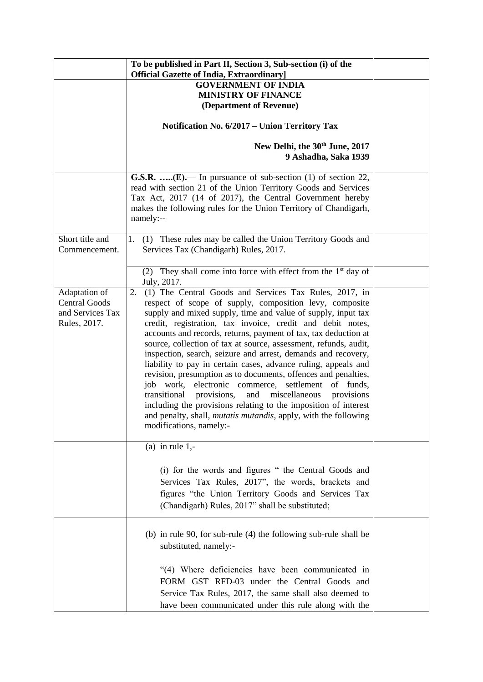|                                                                           | To be published in Part II, Section 3, Sub-section (i) of the<br><b>Official Gazette of India, Extraordinary]</b>                                                                                                                                                                                                                                                                                                                                                                                                                                                                                                                                                                                                                                                                                                                                                                                      |  |
|---------------------------------------------------------------------------|--------------------------------------------------------------------------------------------------------------------------------------------------------------------------------------------------------------------------------------------------------------------------------------------------------------------------------------------------------------------------------------------------------------------------------------------------------------------------------------------------------------------------------------------------------------------------------------------------------------------------------------------------------------------------------------------------------------------------------------------------------------------------------------------------------------------------------------------------------------------------------------------------------|--|
|                                                                           | <b>GOVERNMENT OF INDIA</b><br><b>MINISTRY OF FINANCE</b><br>(Department of Revenue)                                                                                                                                                                                                                                                                                                                                                                                                                                                                                                                                                                                                                                                                                                                                                                                                                    |  |
|                                                                           | Notification No. 6/2017 - Union Territory Tax                                                                                                                                                                                                                                                                                                                                                                                                                                                                                                                                                                                                                                                                                                                                                                                                                                                          |  |
|                                                                           | New Delhi, the 30th June, 2017<br>9 Ashadha, Saka 1939                                                                                                                                                                                                                                                                                                                                                                                                                                                                                                                                                                                                                                                                                                                                                                                                                                                 |  |
|                                                                           | G.S.R. (E).— In pursuance of sub-section (1) of section 22,<br>read with section 21 of the Union Territory Goods and Services<br>Tax Act, 2017 (14 of 2017), the Central Government hereby<br>makes the following rules for the Union Territory of Chandigarh,<br>namely:--                                                                                                                                                                                                                                                                                                                                                                                                                                                                                                                                                                                                                            |  |
| Short title and<br>Commencement.                                          | 1. (1) These rules may be called the Union Territory Goods and<br>Services Tax (Chandigarh) Rules, 2017.                                                                                                                                                                                                                                                                                                                                                                                                                                                                                                                                                                                                                                                                                                                                                                                               |  |
|                                                                           | (2) They shall come into force with effect from the $1st$ day of<br>July, 2017.                                                                                                                                                                                                                                                                                                                                                                                                                                                                                                                                                                                                                                                                                                                                                                                                                        |  |
| Adaptation of<br><b>Central Goods</b><br>and Services Tax<br>Rules, 2017. | (1) The Central Goods and Services Tax Rules, 2017, in<br>2.<br>respect of scope of supply, composition levy, composite<br>supply and mixed supply, time and value of supply, input tax<br>credit, registration, tax invoice, credit and debit notes,<br>accounts and records, returns, payment of tax, tax deduction at<br>source, collection of tax at source, assessment, refunds, audit,<br>inspection, search, seizure and arrest, demands and recovery,<br>liability to pay in certain cases, advance ruling, appeals and<br>revision, presumption as to documents, offences and penalties,<br>job work, electronic commerce, settlement of funds,<br>provisions,<br>and<br>miscellaneous<br>transitional<br>provisions<br>including the provisions relating to the imposition of interest<br>and penalty, shall, <i>mutatis mutandis</i> , apply, with the following<br>modifications, namely:- |  |
|                                                                           | (a) in rule $1,-$<br>(i) for the words and figures " the Central Goods and<br>Services Tax Rules, 2017", the words, brackets and<br>figures "the Union Territory Goods and Services Tax<br>(Chandigarh) Rules, 2017" shall be substituted;                                                                                                                                                                                                                                                                                                                                                                                                                                                                                                                                                                                                                                                             |  |
|                                                                           | (b) in rule 90, for sub-rule (4) the following sub-rule shall be<br>substituted, namely:-<br>"(4) Where deficiencies have been communicated in<br>FORM GST RFD-03 under the Central Goods and<br>Service Tax Rules, 2017, the same shall also deemed to                                                                                                                                                                                                                                                                                                                                                                                                                                                                                                                                                                                                                                                |  |
|                                                                           | have been communicated under this rule along with the                                                                                                                                                                                                                                                                                                                                                                                                                                                                                                                                                                                                                                                                                                                                                                                                                                                  |  |